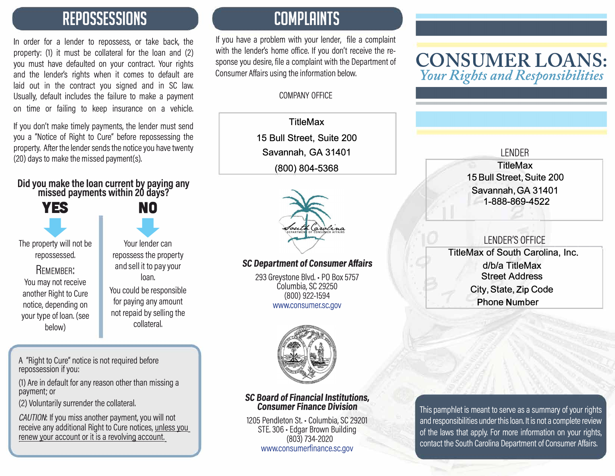### **REPOSSESSIONS**

In order for a lender to repossess, or take back, the property: (1) it must be collateral for the loan and (2) you must have defaulted on your contract. Your rights and the lender's rights when it comes to default are laid out in the contract you signed and in SC law, Usually, default includes the failure to make a payment on time or failing to keep insurance on a vehicle.

If you don't make timely payments, the lender must send you a "Notice of Right to Cure" before repossessing the property, After the lender sends the notice you have twenty (20) days to make the missed payment(s),

#### **Did you make the loan current by paying any**  missed payments within 20 days?

**YES NO** 

**YES** NO<br>
NO<br>
berty will not be Your lender can The property will not be repossessed.

REMEMBER: You may not receive another Right to Cure notice, depending on your type of loan. (see below)

Your lender can repossess the property and sell it to pay your loan.

You could be responsible for paying any amount not repaid by selling the collateral.

A "Right to Cure" notice is not required before repossession if you:

(1) Are in default for any reason other than missing a payment; or

(2) Voluntarily surrender the collateral.

*CAUTION:* If you miss another payment, you will not receive any additional Right to Cure notices, unless you renew your account or it is a revolving account

### **COMPLAINTS**

If you have a problem with your lender, file a complaint with the lender's home office. If you don't receive the response you desire, file a complaint with the Department of Consumer Affairs using the information below.

#### COMPANY OFFICE

**TitleMax 15 Bull Street, Suite 200 Savannah, GA 31401 (800) 804-5368**



### SC *Department* of Consumer Affairs

293 Greystone Blvd. • PO Box 5757 Columbia, SC 29250 (800) 922-1594 www.consumer.sc.gov



#### SC *Board* of *Financial Institutions,*  Consumer Finance *Division*

1205 Pendleton St. - Columbia, SC 29201 STE. 306 • Edgar Brown Building (803) 734-2020 www.consumerfinance.sc.gov

### **CONSUMER LOANS:**  *Your Rights and Responsibilities*

#### LENDER **TitleMax 15 Bull Street, Suite 200 Savannah, GA 31401 1-888-869-4522**

### LENDER'S OFFICE<br>Contract in the contract of the contract of the contract of the contract of the contract of the contract of the

 **TitleMax of South Carolina, Inc. d/b/a TitleMax Street Address City, State, Zip Code Phone Number** 

This pamphlet is meant to serve as a summary of your rights and responsibilities under this loan. It is not a complete review of the laws that apply. For more information on your rights, contact the South Carolina Department of Consumer Affairs.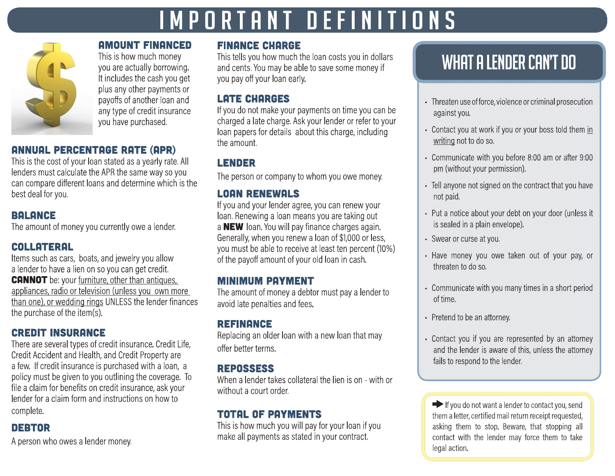# IMPORTANT DEFINITIONS



**AMOUNT FINANCED** This is how much money you are actually borrowing. It includes the cash you get plus any other payments or payoffs of another loan and any type of credit insurance you have purchased.

### **ANNUAL PERCENTAGE RATE (APR)**

This is the cost of your loan stated as a yearly rate. All lenders must calculate the APR the same way so you can compare different loans and determine which is the best deal for you.

### **BALANCE**

The amount of money you currently owe a lender.

### **COLLATERAL**

Items such as cars, boats, and jewelry you allow a lender to have a lien on so you can get credit. **CANNOT** be: your furniture, other than antiques, appliances, radio or television (unless you own more than one), or wedding rings UNLESS the lender finances the purchase of the item(s).

### **CREDIT INSURANCE**

There are several types of credit insurance. Credit Life, Credit Accident and Health, and Credit Property are a few. If credit insurance is purchased with a loan, a policy must be given to you outlining the coverage. To file a claim for benefits on credit insurance, ask your lender for a claim form and instructions on how to complete.

### **DEBTOR**

A person who owes a lender money.

### **FINANCE CHARGE**

This tells you how much the loan costs you in dollars and cents. You may be able to save some money if you pay off your loan early.

### **LATE CHARGES**

If you do not make your payments on time you can be charged a late charge. Ask your lender or refer to your loan papers for details about this charge, including the amount.

### **LENDER**

The person or company to whom you owe money.

### **LOAN RENEWALS**

If you and your lender agree, you can renew your loan. Renewing a loan means you are taking out a NEW loan. You will pay finance charges again. Generally, when you renew a loan of \$1,000 or less, you must be able to receive at least ten percent (10%) of the payoff amount of your old loan in cash.

### **MINIMUM PAYMENT**

The amount of money a debtor must pay a lender to avoid late penalties and fees.

### **REFINANCE**

Replacing an older loan with a new loan that may offer better terms.

### **REPOSSESS**

When a lender takes collateral the lien is on - with or without a court order.

### **TOTAL OF PAYMENTS**

This is how much you will pay for your loan if you make all payments as stated in your contract.

## WHAT A LENDER CAN'T DO

- Threaten use of force, violence or criminal prosecution against you.
- Contact you at work if you or your boss told them in writing not to do so.
- Communicate with you before 8:00 am or after 9:00 pm (without your permission).
- Tell anyone not signed on the contract that you have not paid.
- Put a notice about your debt on your door (unless it is sealed in a plain envelope).
- · Swear or curse at you.
- Have money you owe taken out of your pay, or threaten to do so.
- Communicate with you many times in a short period of time.
- Pretend to be an attorney.
- Contact you if you are represented by an attorney and the lender is aware of this, unless the attorney fails to respond to the lender.

 $\blacktriangleright$  If you do not want a lender to contact you, send them a letter, certified mail return receipt requested, asking them to stop. Beware, that stopping all contact with the lender may force them to take legal action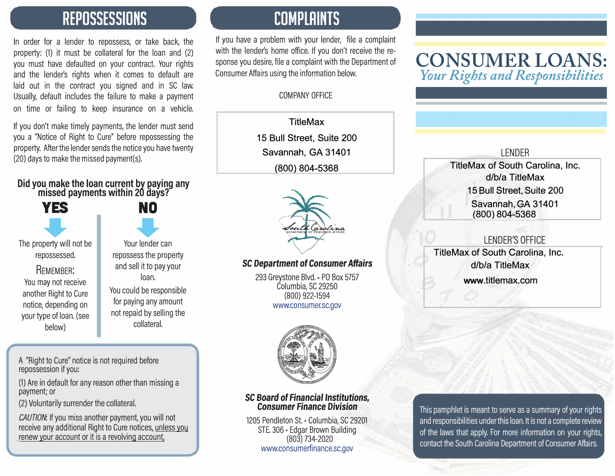### **REPOSSESSIONS**

In order for a lender to repossess, or take back, the property: (1) it must be collateral for the loan and (2) you must have defaulted on your contract. Your rights and the lender's rights when it comes to default are laid out in the contract you signed and in SC law, Usually, default includes the failure to make a payment on time or failing to keep insurance on a vehicle.

If you don't make timely payments, the lender must send you a "Notice of Right to Cure" before repossessing the property, After the lender sends the notice you have twenty (20) days to make the missed payment(s),

#### **Did you make the loan current by paying any**  missed payments within 20 days?

**YES NO** 

**YES** NO<br>
NO<br>
berty will not be<br>
Your lender can The property will not be repossessed.

REMEMBER: You may not receive another Right to Cure notice, depending on your type of loan. (see below)

Your lender can repossess the property and sell it to pay your loan. You could be responsible for paying any amount

not repaid by selling the collateral.

A "Right to Cure" notice is not required before repossession if you:

(1) Are in default for any reason other than missing a payment; or

(2) Voluntarily surrender the collateral.

*CAUTION:* If you miss another payment, you will not receive any additional Right to Cure notices, unless you renew your account or it is a revolving account

### **COMPLAINTS**

If you have a problem with your lender, file a complaint with the lender's home office. If you don't receive the response you desire, file a complaint with the Department of Consumer Affairs using the information below.

### COMPANY OFFICE

**TitleMax 15 Bull Street, Suite 200 Savannah, GA 31401 (800) 804-5368**



### SC *Department* of Consumer Affairs

293 Greystone Blvd. • PO Box 5757 Columbia, SC 29250 (800) 922-1594 www.consumer.sc.gov



#### SC *Board* of *Financial Institutions,*  Consumer Finance *Division*

1205 Pendleton St. - Columbia, SC 29201 STE. 306 • Edgar Brown Building (803) 734-2020 www.consumerfinance.sc.gov

### **CONSUMER LOANS:**  *Your Rights and Responsibilities*

### LENDER **TitleMax of South Carolina, Inc. d/b/a TitleMax 15 Bull Street, Suite 200 Savannah, GA 31401 (800) 804-5368**

### LENDER'S ---------, OFFICE

**TitleMax of South Carolina, Inc. d/b/a TitleMax** 

**www.titlemax.com** 

This pamphlet is meant to serve as a summary of your rights and responsibilities under this loan. It is not a complete review of the laws that apply. For more information on your rights, contact the South Carolina Department of Consumer Affairs.